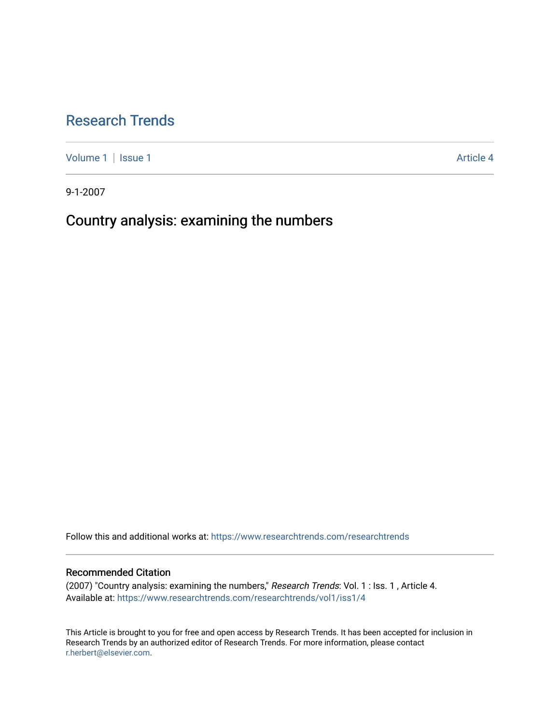# [Research Trends](https://www.researchtrends.com/researchtrends)

[Volume 1](https://www.researchtrends.com/researchtrends/vol1) | [Issue 1](https://www.researchtrends.com/researchtrends/vol1/iss1) Article 4

9-1-2007

# Country analysis: examining the numbers

Follow this and additional works at: [https://www.researchtrends.com/researchtrends](https://www.researchtrends.com/researchtrends?utm_source=www.researchtrends.com%2Fresearchtrends%2Fvol1%2Fiss1%2F4&utm_medium=PDF&utm_campaign=PDFCoverPages) 

# Recommended Citation

(2007) "Country analysis: examining the numbers," Research Trends: Vol. 1 : Iss. 1 , Article 4. Available at: [https://www.researchtrends.com/researchtrends/vol1/iss1/4](https://www.researchtrends.com/researchtrends/vol1/iss1/4?utm_source=www.researchtrends.com%2Fresearchtrends%2Fvol1%2Fiss1%2F4&utm_medium=PDF&utm_campaign=PDFCoverPages) 

This Article is brought to you for free and open access by Research Trends. It has been accepted for inclusion in Research Trends by an authorized editor of Research Trends. For more information, please contact [r.herbert@elsevier.com.](mailto:r.herbert@elsevier.com)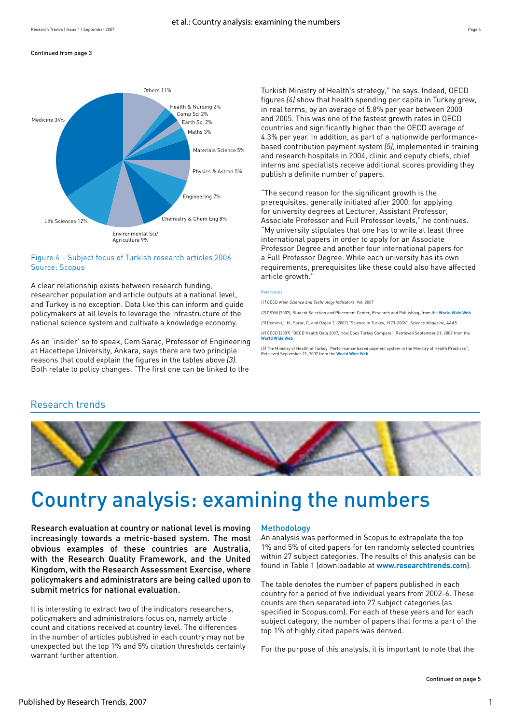#### Continued from page 3



## Figure 4 – Subject focus of Turkish research articles 2006 Source: Scopus

A clear relationship exists between research funding, researcher population and article outputs at a national level, and Turkey is no exception. Data like this can inform and guide policymakers at all levels to leverage the infrastructure of the national science system and cultivate a knowledge economy.

As an 'insider' so to speak, Cem Saraç, Professor of Engineering at Hacettepe University, Ankara, says there are two principle reasons that could explain the figures in the tables above (3). Both relate to policy changes. "The first one can be linked to the

Turkish Ministry of Health's strategy," he says. Indeed, OECD figures (4) show that health spending per capita in Turkey grew, in real terms, by an average of 5.8% per year between 2000 and 2005. This was one of the fastest growth rates in OECD countries and significantly higher than the OECD average of 4.3% per year. In addition, as part of a nationwide performancebased contribution payment system(5), implemented in training and research hospitals in 2004, clinic and deputy chiefs, chief interns and specialists receive additional scores providing they publish a definite number of papers.

"The second reason for the significant growth is the prerequisites, generally initiated after 2000, for applying for university degrees at Lecturer, Assistant Professor, Associate Professor and Full Professor levels," he continues. "My university stipulates that one has to write at least three international papers in order to apply for an Associate Professor Degree and another four international papers for a Full Professor Degree. While each university has its own requirements, prerequisites like these could also have affected article growth."

#### References:

(1) OECD Main Science and Technology Indicators, Vol. 2007

(2) OSYM (2007), Student Selection and Placement Center, Research and Publishing, from the **[World Wide Web](http://www.osym.gov.tr/)**

(3) Demirel, I.H., Sarac, C. and Ozgen T. (2007) "Science in Turkey, 1973-2006". Science Magazine, AAAS.

(4) OECD (2007) "OECD Health Data 2007, How Does Turkey Compare", Retrieved September 21, 2007 from the **[World Wide Web](http://www.oecd.org/dataoecd/46/5/38980477.pdf)**

(5) The Ministry of Health of Turkey "Performance-based payment system in the Ministry of Health Practices", Retrieved September 21, 2007 from the **[World Wide Web](http://www.saglik.gov.tr/EN/BelgeGoster.aspx?17A16AE30572D313AAF6AA849816B2EF07A5EC3E4D661B32)**

# Research trends



# Country analysis: examining the numbers

Research evaluation at country or national level is moving increasingly towards a metric-based system. The most obvious examples of these countries are Australia, with the Research Quality Framework, and the United Kingdom, with the Research Assessment Exercise, where policymakers and administrators are being called upon to submit metrics for national evaluation.

It is interesting to extract two of the indicators researchers, policymakers and administrators focus on, namely article count and citations received at country level. The differences in the number of articles published in each country may not be unexpected but the top 1% and 5% citation thresholds certainly warrant further attention.

### Methodology

An analysis was performed in Scopus to extrapolate the top 1% and 5% of cited papers for ten randomly selected countries within 27 subject categories. The results of this analysis can be found in Table 1 (downloadable at **[www.researchtrends.com](http://www.researchtrends.com/)**).

The table denotes the number of papers published in each country for a period of five individual years from 2002-6. These counts are then separated into 27 subject categories (as specified in Scopus.com). For each of these years and for each subject category, the number of papers that forms a part of the top 1% of highly cited papers was derived.

For the purpose of this analysis, it is important to note that the